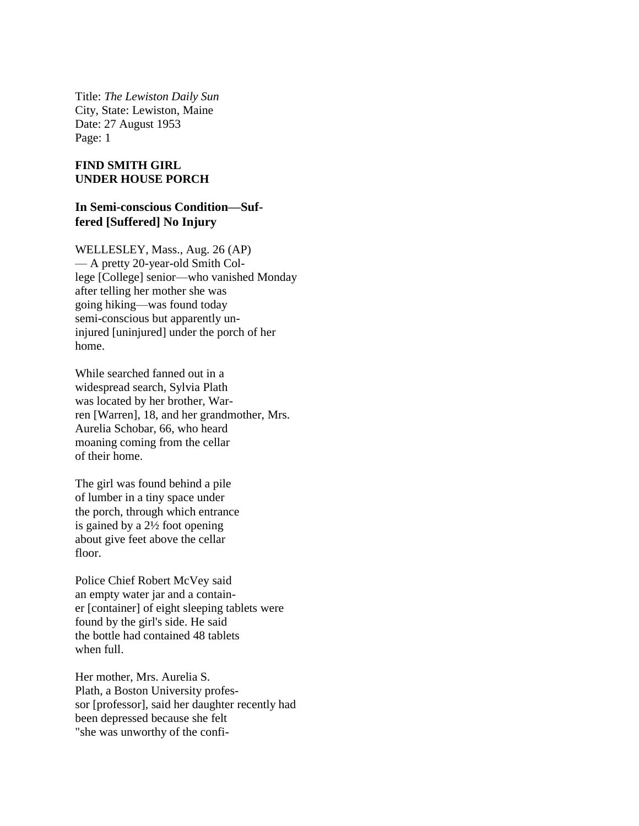Title: *The Lewiston Daily Sun* City, State: Lewiston, Maine Date: 27 August 1953 Page: 1

## **FIND SMITH GIRL UNDER HOUSE PORCH**

## **In Semi-conscious Condition—Suffered [Suffered] No Injury**

WELLESLEY, Mass., Aug. 26 (AP) — A pretty 20-year-old Smith College [College] senior—who vanished Monday after telling her mother she was going hiking—was found today semi-conscious but apparently uninjured [uninjured] under the porch of her home.

While searched fanned out in a widespread search, Sylvia Plath was located by her brother, Warren [Warren], 18, and her grandmother, Mrs. Aurelia Schobar, 66, who heard moaning coming from the cellar of their home.

The girl was found behind a pile of lumber in a tiny space under the porch, through which entrance is gained by a 2½ foot opening about give feet above the cellar floor.

Police Chief Robert McVey said an empty water jar and a container [container] of eight sleeping tablets were found by the girl's side. He said the bottle had contained 48 tablets when full.

Her mother, Mrs. Aurelia S. Plath, a Boston University professor [professor], said her daughter recently had been depressed because she felt "she was unworthy of the confi